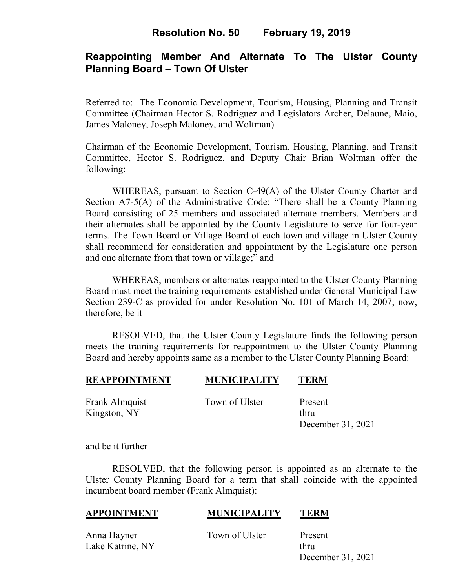# **Resolution No. 50 February 19, 2019**

# **Reappointing Member And Alternate To The Ulster County Planning Board – Town Of Ulster**

Referred to: The Economic Development, Tourism, Housing, Planning and Transit Committee (Chairman Hector S. Rodriguez and Legislators Archer, Delaune, Maio, James Maloney, Joseph Maloney, and Woltman)

Chairman of the Economic Development, Tourism, Housing, Planning, and Transit Committee, Hector S. Rodriguez, and Deputy Chair Brian Woltman offer the following:

WHEREAS, pursuant to Section C-49(A) of the Ulster County Charter and Section A7-5(A) of the Administrative Code: "There shall be a County Planning Board consisting of 25 members and associated alternate members. Members and their alternates shall be appointed by the County Legislature to serve for four-year terms. The Town Board or Village Board of each town and village in Ulster County shall recommend for consideration and appointment by the Legislature one person and one alternate from that town or village;" and

WHEREAS, members or alternates reappointed to the Ulster County Planning Board must meet the training requirements established under General Municipal Law Section 239-C as provided for under Resolution No. 101 of March 14, 2007; now, therefore, be it

RESOLVED, that the Ulster County Legislature finds the following person meets the training requirements for reappointment to the Ulster County Planning Board and hereby appoints same as a member to the Ulster County Planning Board:

### **REAPPOINTMENT MUNICIPALITY TERM**

Kingston, NY thru

Frank Almquist Town of Ulster Present

December 31, 2021

and be it further

RESOLVED, that the following person is appointed as an alternate to the Ulster County Planning Board for a term that shall coincide with the appointed incumbent board member (Frank Almquist):

#### **APPOINTMENT MUNICIPALITY TERM**

Anna Hayner Town of Ulster Present

Lake Katrine, NY thru December 31, 2021